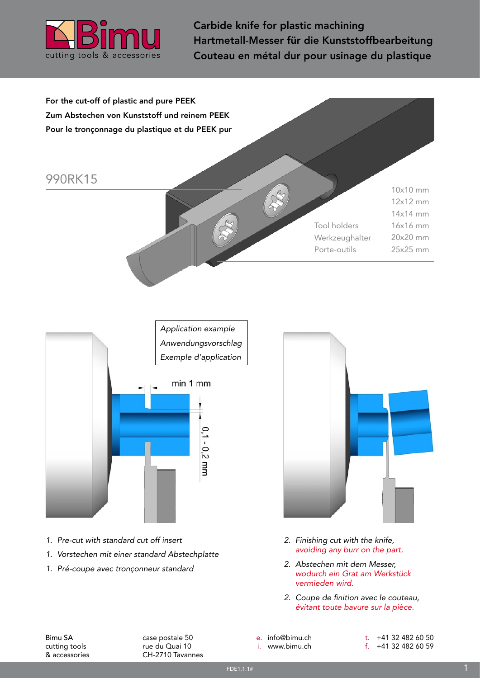

Carbide knife for plastic machining Hartmetall-Messer für die Kunststoffbearbeitung Couteau en métal dur pour usinage du plastique

For the cut-off of plastic and pure PEEK Zum Abstechen von Kunststoff und reinem PEEK Pour le tronçonnage du plastique et du PEEK pur

## 990RK15

10x10 mm 12x12 mm 14x14 mm 16x16 mm 20x20 mm 25x25 mm Tool holders Werkzeughalter Porte-outils



- *1. Pre-cut with standard cut off insert*
- *1. Vorstechen mit einer standard Abstechplatte*
- *1. Pré-coupe avec tronçonneur standard*



- *2. Finishing cut with the knife, avoiding any burr on the part.*
- *2. Abstechen mit dem Messer, wodurch ein Grat am Werkstück vermieden wird.*
- *2. Coupe de finition avec le couteau, évitant toute bavure sur la pièce.*

Bimu SA cutting tools & accessories case postale 50 rue du Quai 10 CH-2710 Tavannes e. info@bimu.ch i. www.bimu.ch

t. +41 32 482 60 50 f. +41 32 482 60 59